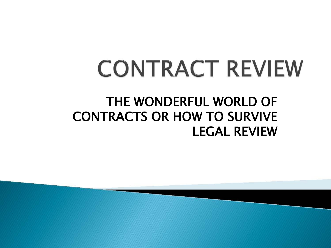## CONTRACT REVIEW

#### THE WONDERFUL WORLD OF CONTRACTS OR HOW TO SURVIVE LEGAL REVIEW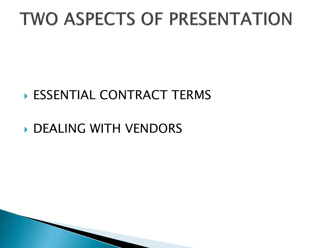### **TWO ASPECTS OF PRESENTATION**

#### ESSENTIAL CONTRACT TERMS

#### **DEALING WITH VENDORS**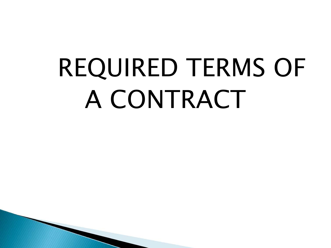# REQUIRED TERMS OF A CONTRACT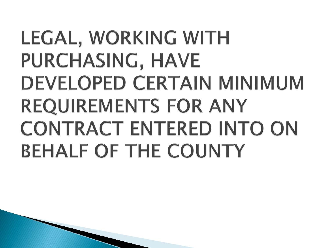### LEGAL, WORKING WITH PURCHASING, HAVE DEVELOPED CERTAIN MINIMUM REQUIREMENTS FOR ANY CONTRACT ENTERED INTO ON BEHALF OF THE COUNTY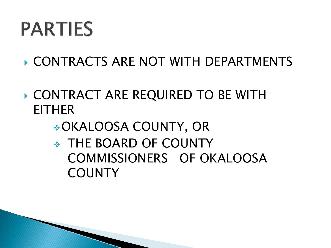### **PARTIES**

- CONTRACTS ARE NOT WITH DEPARTMENTS
- CONTRACT ARE REQUIRED TO BE WITH EITHER
	- OKALOOSA COUNTY, OR
	- COMMISSIONERS OF OKALOOSA THE BOARD OF COUNTY **COUNTY**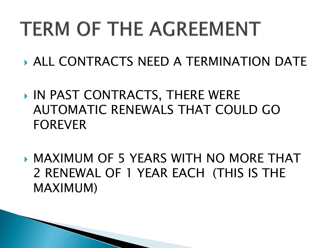## **TERM OF THE AGREEMENT**

- ALL CONTRACTS NEED A TERMINATION DATE
- AUTOMATIC RENEWALS THAT COULD GO IN PAST CONTRACTS, THERE WERE FOREVER
- MAXIMUM OF 5 YEARS WITH NO MORE THAT 2 RENEWAL OF 1 YEAR EACH (THIS IS THE MAXIMUM)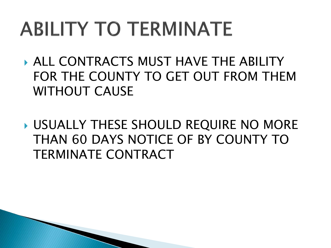## **ABILITY TO TERMINATE**

- FOR THE COUNTY TO GET OUT FROM THEM ALL CONTRACTS MUST HAVE THE ABILITY WITHOUT CAUSE
- USUALLY THESE SHOULD REQUIRE NO MORE THAN 60 DAYS NOTICE OF BY COUNTY TO TERMINATE CONTRACT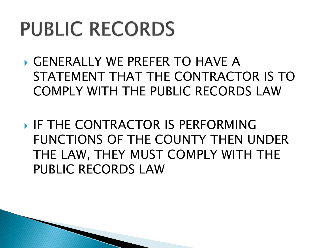### **PUBLIC RECORDS**

- COMPLY WITH THE PUBLIC RECORDS LAW GENERALLY WE PREFER TO HAVE A STATEMENT THAT THE CONTRACTOR IS TO
- THE LAW, THEY MUST COMPLY WITH THE **IF THE CONTRACTOR IS PERFORMING** FUNCTIONS OF THE COUNTY THEN UNDER PUBLIC RECORDS LAW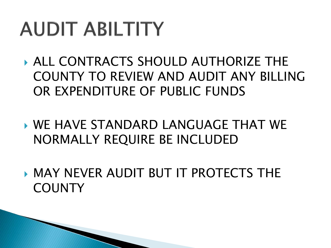## **AUDIT ABILTITY**

- ALL CONTRACTS SHOULD AUTHORIZE THE COUNTY TO REVIEW AND AUDIT ANY BILLING OR EXPENDITURE OF PUBLIC FUNDS
- WE HAVE STANDARD LANGUAGE THAT WE NORMALLY REQUIRE BE INCLUDED
- MAY NEVER AUDIT BUT IT PROTECTS THE **COUNTY**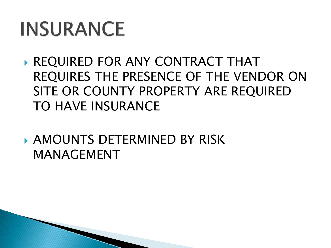### **INSURANCE**

- REQUIRES THE PRESENCE OF THE VENDOR ON SITE OR COUNTY PROPERTY ARE REQUIRED TO HAVE INSURANCE REQUIRED FOR ANY CONTRACT THAT
- AMOUNTS DETERMINED BY RISK MANAGEMENT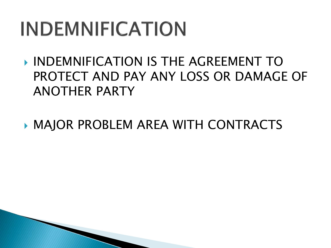## **INDEMNIFICATION**

- PROTECT AND PAY ANY LOSS OR DAMAGE OF INDEMNIFICATION IS THE AGREEMENT TO ANOTHER PARTY
- MAJOR PROBLEM AREA WITH CONTRACTS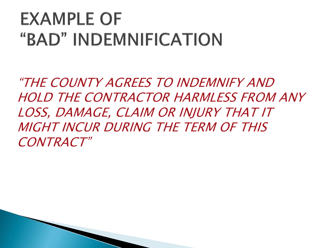### **EXAMPLE OF** "BAD" INDEMNIFICATION

"THE COUNTY AGREES TO INDEMNIFY AND HOLD THE CONTRACTOR HARMLESS FROM ANY LOSS, DAMAGE, CLAIM OR INJURY THAT IT MIGHT INCUR DURING THE TERM OF THIS CONTRACT"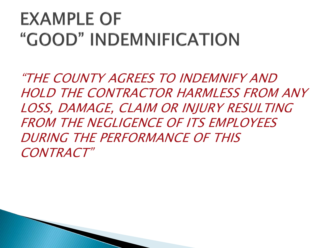### **EXAMPLE OF** "GOOD" INDEMNIFICATION

"THE COUNTY AGREES TO INDEMNIFY AND HOLD THE CONTRACTOR HARMLESS FROM ANY LOSS, DAMAGE, CLAIM OR INJURY RESULTING FROM THE NEGLIGENCE OF ITS EMPLOYEES DURING THE PERFORMANCE OF THIS CONTRACT"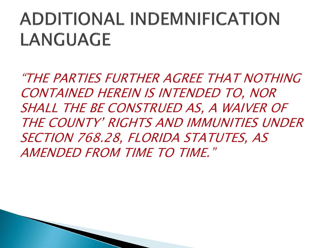### **ADDITIONAL INDEMNIFICATION** LANGUAGE

 SHALL THE BE CONSTRUED AS, A WAIVER OF "THE PARTIES FURTHER AGREE THAT NOTHING CONTAINED HEREIN IS INTENDED TO, NOR THE COUNTY' RIGHTS AND IMMUNITIES UNDER SECTION 768.28, FLORIDA STATUTES. AS AMENDED FROM TIME TO TIME."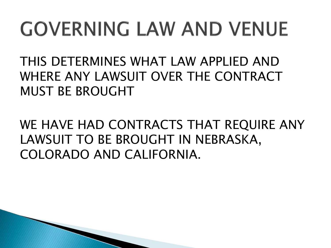## **GOVERNING LAW AND VENUE**

THIS DETERMINES WHAT LAW APPLIED AND WHERE ANY LAWSUIT OVER THE CONTRACT MUST BE BROUGHT

WE HAVE HAD CONTRACTS THAT REQUIRE ANY LAWSUIT TO BE BROUGHT IN NEBRASKA, COLORADO AND CALIFORNIA.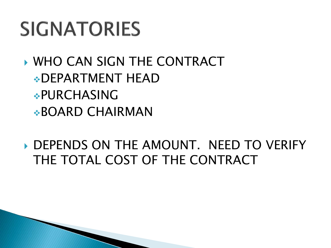### **SIGNATORIES**

 WHO CAN SIGN THE CONTRACT DEPARTMENT HEAD PURCHASING BOARD CHAIRMAN

DEPENDS ON THE AMOUNT. NEED TO VERIFY THE TOTAL COST OF THE CONTRACT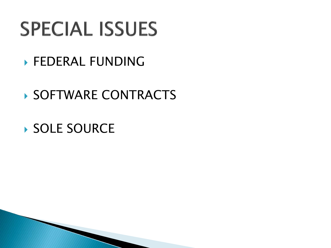### **SPECIAL ISSUES**

**FEDERAL FUNDING** 

#### ▶ SOFTWARE CONTRACTS

### ▶ SOLE SOURCE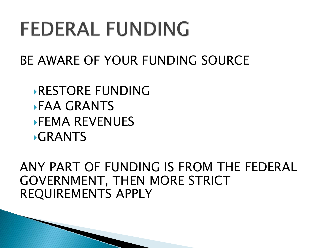### **FEDERAL FUNDING**

BE AWARE OF YOUR FUNDING SOURCE

RESTORE FUNDING FAA GRANTS FEMA REVENUES **GRANTS** 

ANY PART OF FUNDING IS FROM THE FEDERAL GOVERNMENT, THEN MORE STRICT REQUIREMENTS APPLY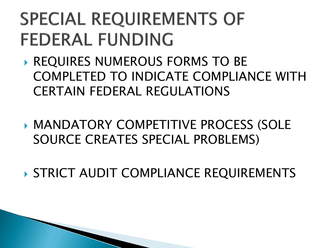### **SPECIAL REQUIREMENTS OF FEDERAL FUNDING**

- COMPLETED TO INDICATE COMPLIANCE WITH **REQUIRES NUMEROUS FORMS TO BE** CERTAIN FEDERAL REGULATIONS
- MANDATORY COMPETITIVE PROCESS (SOLE SOURCE CREATES SPECIAL PROBLEMS)
- STRICT AUDIT COMPLIANCE REQUIREMENTS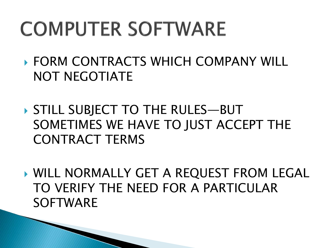## **COMPUTER SOFTWARE**

- FORM CONTRACTS WHICH COMPANY WILL NOT NEGOTIATE
- SOMETIMES WE HAVE TO JUST ACCEPT THE STILL SUBJECT TO THE RULES—BUT CONTRACT TERMS
- TO VERIFY THE NEED FOR A PARTICULAR WILL NORMALLY GET A REQUEST FROM LEGAL SOFTWARE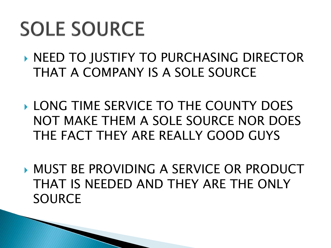### **SOLE SOURCE**

- **NEED TO JUSTIFY TO PURCHASING DIRECTOR** THAT A COMPANY IS A SOLE SOURCE
- **LONG TIME SERVICE TO THE COUNTY DOES**  NOT MAKE THEM A SOLE SOURCE NOR DOES THE FACT THEY ARE REALLY GOOD GUYS
- MUST BE PROVIDING A SERVICE OR PRODUCT THAT IS NEEDED AND THEY ARE THE ONLY SOURCE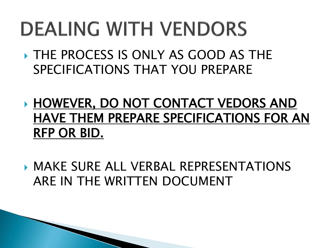### **DEALING WITH VENDORS**

- THE PROCESS IS ONLY AS GOOD AS THE SPECIFICATIONS THAT YOU PREPARE
- **HOWEVER, DO NOT CONTACT VEDORS AND**  HAVE THEM PREPARE SPECIFICATIONS FOR AN RFP OR BID.
- MAKE SURE ALL VERBAL REPRESENTATIONS ARE IN THE WRITTEN DOCUMENT